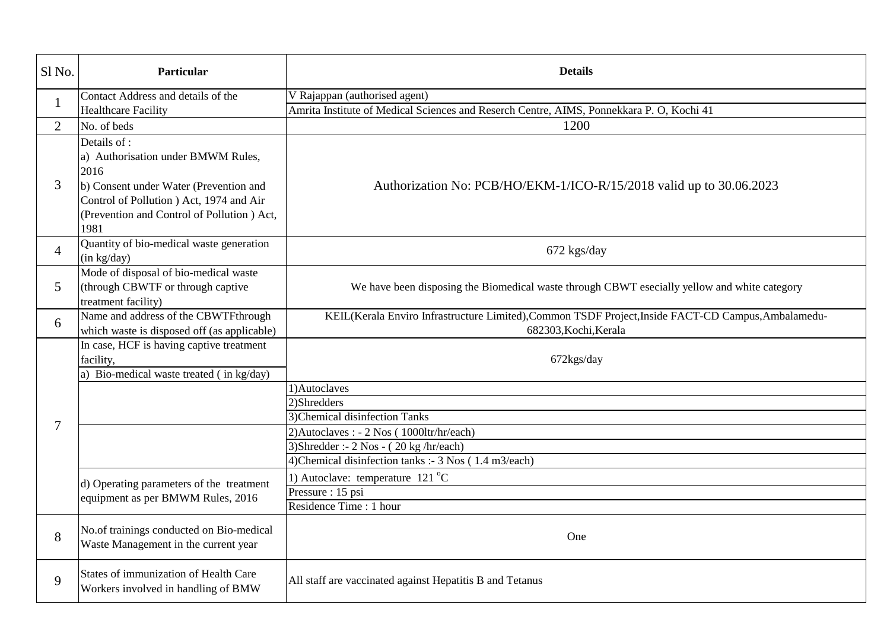| Sl No.         | Particular                                                                                                                                                                                              | <b>Details</b>                                                                                                               |  |  |
|----------------|---------------------------------------------------------------------------------------------------------------------------------------------------------------------------------------------------------|------------------------------------------------------------------------------------------------------------------------------|--|--|
| $\mathbf{1}$   | Contact Address and details of the                                                                                                                                                                      | V Rajappan (authorised agent)                                                                                                |  |  |
|                | <b>Healthcare Facility</b>                                                                                                                                                                              | Amrita Institute of Medical Sciences and Reserch Centre, AIMS, Ponnekkara P. O, Kochi 41                                     |  |  |
| 2              | No. of beds                                                                                                                                                                                             | 1200                                                                                                                         |  |  |
| 3              | Details of :<br>a) Authorisation under BMWM Rules,<br>2016<br>b) Consent under Water (Prevention and<br>Control of Pollution ) Act, 1974 and Air<br>(Prevention and Control of Pollution ) Act,<br>1981 | Authorization No: PCB/HO/EKM-1/ICO-R/15/2018 valid up to 30.06.2023                                                          |  |  |
| $\overline{4}$ | Quantity of bio-medical waste generation<br>(in kg/day)                                                                                                                                                 | 672 kgs/day                                                                                                                  |  |  |
| $\mathfrak{S}$ | Mode of disposal of bio-medical waste<br>(through CBWTF or through captive<br>treatment facility)                                                                                                       | We have been disposing the Biomedical waste through CBWT esecially yellow and white category                                 |  |  |
| 6              | Name and address of the CBWTFthrough<br>which waste is disposed off (as applicable)                                                                                                                     | KEIL(Kerala Enviro Infrastructure Limited), Common TSDF Project, Inside FACT-CD Campus, Ambalamedu-<br>682303, Kochi, Kerala |  |  |
|                | In case, HCF is having captive treatment<br>facility,<br>a) Bio-medical waste treated (in kg/day)                                                                                                       | 672kgs/day                                                                                                                   |  |  |
|                |                                                                                                                                                                                                         | 1)Autoclaves                                                                                                                 |  |  |
|                |                                                                                                                                                                                                         | 2)Shredders                                                                                                                  |  |  |
| $\tau$         |                                                                                                                                                                                                         | 3) Chemical disinfection Tanks                                                                                               |  |  |
|                |                                                                                                                                                                                                         | 2) Autoclaves : - 2 Nos (1000ltr/hr/each)                                                                                    |  |  |
|                |                                                                                                                                                                                                         | 3) Shredder :- $2$ Nos - $(20 \text{ kg/hr/each})$                                                                           |  |  |
|                |                                                                                                                                                                                                         | 4) Chemical disinfection tanks :- 3 Nos (1.4 m3/each)                                                                        |  |  |
|                | d) Operating parameters of the treatment<br>equipment as per BMWM Rules, 2016                                                                                                                           | 1) Autoclave: temperature $121^{\circ}$ C                                                                                    |  |  |
|                |                                                                                                                                                                                                         | Pressure : 15 psi                                                                                                            |  |  |
|                |                                                                                                                                                                                                         | Residence Time : 1 hour                                                                                                      |  |  |
| 8              | No.of trainings conducted on Bio-medical<br>Waste Management in the current year                                                                                                                        | One                                                                                                                          |  |  |
| 9              | States of immunization of Health Care<br>Workers involved in handling of BMW                                                                                                                            | All staff are vaccinated against Hepatitis B and Tetanus                                                                     |  |  |